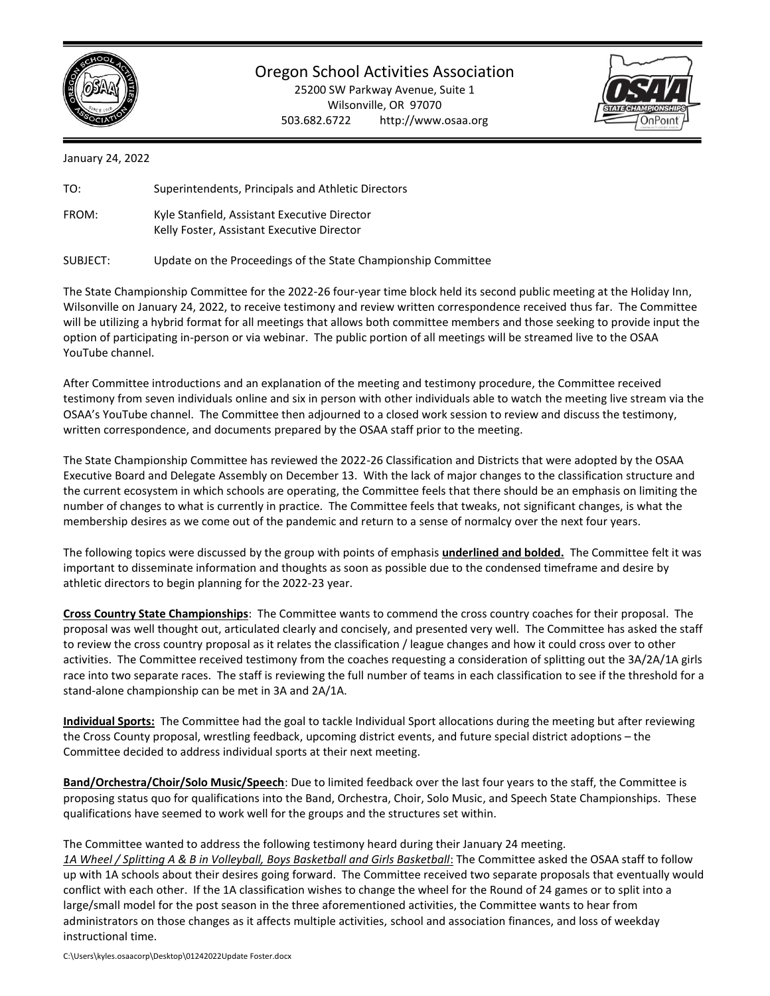

Oregon School Activities Association

25200 SW Parkway Avenue, Suite 1 Wilsonville, OR 97070 503.682.6722 http://www.osaa.org



January 24, 2022

| TO:      | Superintendents, Principals and Athletic Directors                                         |
|----------|--------------------------------------------------------------------------------------------|
| FROM:    | Kyle Stanfield, Assistant Executive Director<br>Kelly Foster, Assistant Executive Director |
| SUBJECT: | Update on the Proceedings of the State Championship Committee                              |

The State Championship Committee for the 2022-26 four-year time block held its second public meeting at the Holiday Inn, Wilsonville on January 24, 2022, to receive testimony and review written correspondence received thus far. The Committee will be utilizing a hybrid format for all meetings that allows both committee members and those seeking to provide input the option of participating in-person or via webinar. The public portion of all meetings will be streamed live to the OSAA YouTube channel.

After Committee introductions and an explanation of the meeting and testimony procedure, the Committee received testimony from seven individuals online and six in person with other individuals able to watch the meeting live stream via the OSAA's YouTube channel. The Committee then adjourned to a closed work session to review and discuss the testimony, written correspondence, and documents prepared by the OSAA staff prior to the meeting.

The State Championship Committee has reviewed the 2022-26 Classification and Districts that were adopted by the OSAA Executive Board and Delegate Assembly on December 13. With the lack of major changes to the classification structure and the current ecosystem in which schools are operating, the Committee feels that there should be an emphasis on limiting the number of changes to what is currently in practice. The Committee feels that tweaks, not significant changes, is what the membership desires as we come out of the pandemic and return to a sense of normalcy over the next four years.

The following topics were discussed by the group with points of emphasis **underlined and bolded.** The Committee felt it was important to disseminate information and thoughts as soon as possible due to the condensed timeframe and desire by athletic directors to begin planning for the 2022-23 year.

**Cross Country State Championships**: The Committee wants to commend the cross country coaches for their proposal. The proposal was well thought out, articulated clearly and concisely, and presented very well. The Committee has asked the staff to review the cross country proposal as it relates the classification / league changes and how it could cross over to other activities. The Committee received testimony from the coaches requesting a consideration of splitting out the 3A/2A/1A girls race into two separate races. The staff is reviewing the full number of teams in each classification to see if the threshold for a stand-alone championship can be met in 3A and 2A/1A.

**Individual Sports:** The Committee had the goal to tackle Individual Sport allocations during the meeting but after reviewing the Cross County proposal, wrestling feedback, upcoming district events, and future special district adoptions – the Committee decided to address individual sports at their next meeting.

**Band/Orchestra/Choir/Solo Music/Speech**: Due to limited feedback over the last four years to the staff, the Committee is proposing status quo for qualifications into the Band, Orchestra, Choir, Solo Music, and Speech State Championships. These qualifications have seemed to work well for the groups and the structures set within.

The Committee wanted to address the following testimony heard during their January 24 meeting.

1A Wheel / Splitting A & B in Volleyball, Boys Basketball and Girls Basketball: The Committee asked the OSAA staff to follow up with 1A schools about their desires going forward. The Committee received two separate proposals that eventually would conflict with each other. If the 1A classification wishes to change the wheel for the Round of 24 games or to split into a large/small model for the post season in the three aforementioned activities, the Committee wants to hear from administrators on those changes as it affects multiple activities, school and association finances, and loss of weekday instructional time.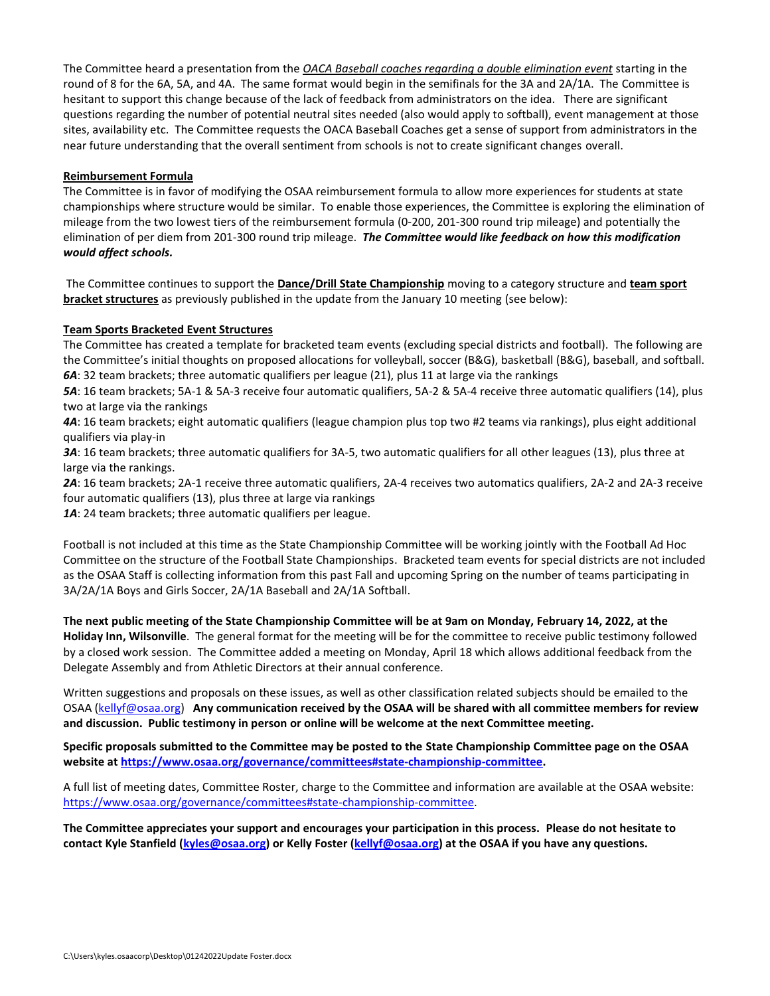The Committee heard a presentation from the *OACA Baseball coaches regarding a double elimination event* starting in the round of 8 for the 6A, 5A, and 4A. The same format would begin in the semifinals for the 3A and 2A/1A. The Committee is hesitant to support this change because of the lack of feedback from administrators on the idea. There are significant questions regarding the number of potential neutral sites needed (also would apply to softball), event management at those sites, availability etc. The Committee requests the OACA Baseball Coaches get a sense of support from administrators in the near future understanding that the overall sentiment from schools is not to create significant changes overall.

## **Reimbursement Formula**

The Committee is in favor of modifying the OSAA reimbursement formula to allow more experiences for students at state championships where structure would be similar. To enable those experiences, the Committee is exploring the elimination of mileage from the two lowest tiers of the reimbursement formula (0-200, 201-300 round trip mileage) and potentially the elimination of per diem from 201-300 round trip mileage. *The Committee would like feedback on how this modification would affect schools.*

The Committee continues to support the **Dance/Drill State Championship** moving to a category structure and **team sport bracket structures** as previously published in the update from the January 10 meeting (see below):

## **Team Sports Bracketed Event Structures**

The Committee has created a template for bracketed team events (excluding special districts and football). The following are the Committee's initial thoughts on proposed allocations for volleyball, soccer (B&G), basketball (B&G), baseball, and softball. *6A*: 32 team brackets; three automatic qualifiers per league (21), plus 11 at large via the rankings

*5A*: 16 team brackets; 5A-1 & 5A-3 receive four automatic qualifiers, 5A-2 & 5A-4 receive three automatic qualifiers (14), plus two at large via the rankings

*4A*: 16 team brackets; eight automatic qualifiers (league champion plus top two #2 teams via rankings), plus eight additional qualifiers via play-in

*3A*: 16 team brackets; three automatic qualifiers for 3A-5, two automatic qualifiers for all other leagues (13), plus three at large via the rankings.

*2A*: 16 team brackets; 2A-1 receive three automatic qualifiers, 2A-4 receives two automatics qualifiers, 2A-2 and 2A-3 receive four automatic qualifiers (13), plus three at large via rankings

**1A**: 24 team brackets; three automatic qualifiers per league.

Football is not included at this time as the State Championship Committee will be working jointly with the Football Ad Hoc Committee on the structure of the Football State Championships. Bracketed team events for special districts are not included as the OSAA Staff is collecting information from this past Fall and upcoming Spring on the number of teams participating in 3A/2A/1A Boys and Girls Soccer, 2A/1A Baseball and 2A/1A Softball.

**The next public meeting of the State Championship Committee will be at 9am on Monday, February 14, 2022, at the Holiday Inn, Wilsonville**. The general format for the meeting will be for the committee to receive public testimony followed by a closed work session. The Committee added a meeting on Monday, April 18 which allows additional feedback from the Delegate Assembly and from Athletic Directors at their annual conference.

Written suggestions and proposals on these issues, as well as other classification related subjects should be emailed to the OSAA [\(kellyf@osaa.org\)](mailto:kellyf@osaa.org) **Any communication received by the OSAA will be shared with all committee members for review and discussion. Public testimony in person or online will be welcome at the next Committee meeting.**

**Specific proposals submitted to the Committee may be posted to the State Championship Committee page on the OSAA website at [https://www.osaa.org/governance/committees#state-championship-committee.](https://www.osaa.org/governance/committees#state-championship-committee)** 

A full list of meeting dates, Committee Roster, charge to the Committee and information are available at the OSAA website: [https://www.osaa.org/governance/committees#state-championship-committee.](https://www.osaa.org/governance/committees#state-championship-committee)

**The Committee appreciates your support and encourages your participation in this process. Please do not hesitate to contact Kyle Stanfield [\(kyles@osaa.org\)](mailto:kyles@osaa.org) or Kelly Foster [\(kellyf@osaa.org\)](mailto:kellyf@osaa.org) at the OSAA if you have any questions.**